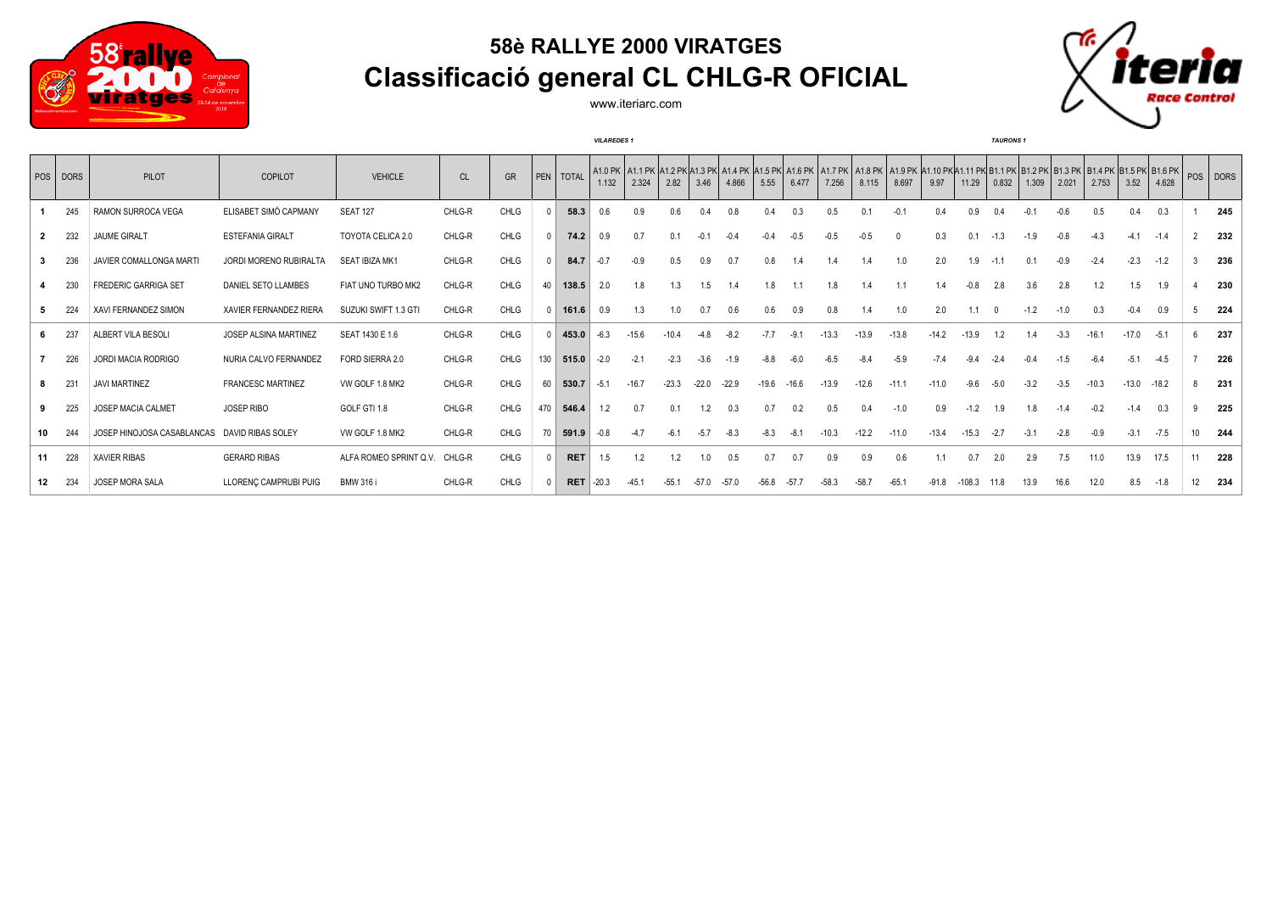

## **58è RALLYE 2000 VIRATGES Classificació general CL CHLG-R OFICIAL**



www.iteriarc.com

|              |                 |                                              |                              |                        |           |             |              |              | <b>VILAREDES 1</b> |         |         |         |         |         |         |         |         |                                                                                                                                                                            |         |          | <b>TAURONS</b> 1 |        |        |         |         |         |                  |     |
|--------------|-----------------|----------------------------------------------|------------------------------|------------------------|-----------|-------------|--------------|--------------|--------------------|---------|---------|---------|---------|---------|---------|---------|---------|----------------------------------------------------------------------------------------------------------------------------------------------------------------------------|---------|----------|------------------|--------|--------|---------|---------|---------|------------------|-----|
|              | POS DORS        | PILOT                                        | COPILOT                      | <b>VEHICLE</b>         | <b>CL</b> | GR          | PEN          | <b>TOTAL</b> | 1.132              | 2.324   | 2.82    | 3.46    | 4.866   | 5.55    | 6.477   | 7.256   | 8.115   | A1.0 PK A1.1 PK A1.2 PK A1.3 PK A1.4 PK A1.5 PK A1.6 PK A1.7 PK A1.8 PK A1.9 PK A1.10 PK A1.11 PK B1.1 PK B1.2 PK B1.3 PK B1.4 PK B1.5 PK B1.6 PK B1.6 PK B1.6 PK<br>8.697 | 9.97    | 11.29    | 0.832            | 1.309  | 2.021  | 2.753   | 3.52    | 4.628   |                  |     |
|              | 245             | RAMON SURROCA VEGA                           | ELISABET SIMÓ CAPMANY        | <b>SEAT 127</b>        | CHLG-R    | CHLG        |              | 58.3         | 0.6                | 0.9     | 0.6     |         | 0.8     | 0.4     |         | 0.5     | 0.1     | $-0.2$                                                                                                                                                                     | 0.4     | 0.9      |                  |        | $-0.6$ | 0.5     | 0.4     | 0.3     |                  | 245 |
| $\mathbf{2}$ | 232             | <b>JAUME GIRALT</b>                          | <b>ESTEFANIA GIRALT</b>      | TOYOTA CELICA 2.0      | CHLG-R    | CHLG        | $\Omega$     | 74.2         | 0.9                | 0.7     | 0.1     | $-0.1$  | $-0.4$  | $-0.4$  | $-0.5$  | $-0.5$  | $-0.5$  | - 0                                                                                                                                                                        | 0.3     | 0.1      | $-1.3$           | $-1.9$ | $-0.8$ | $-4.3$  | $-4.1$  | $-1.4$  | $\overline{2}$   | 232 |
|              | 236             | JAVIER COMALLONGA MARTI                      | JORDI MORENO RUBIRALTA       | SEAT IBIZA MK1         | CHLG-R    | CHLG        |              | 84.7         | $-0.7$             | $-0.9$  | 0.5     | 0.9     | 0.7     | 0.8     | 1.4     | 1.4     | 1.4     | 1.0                                                                                                                                                                        | 2.0     | 1.9      | $-1.1$           | 0.1    | $-0.9$ | $-2.4$  | $-2.3$  | $-1.2$  |                  | 236 |
|              | 230             | <b>FREDERIC GARRIGA SET</b>                  | DANIEL SETO LLAMBES          | FIAT UNO TURBO MK2     | CHLG-R    | CHLG        | 40           | 138.5        | 2.0                | 1.8     | 1.3     | 1.5     | 1.4     | 1.8     |         | 1.8     | 1.4     | 1.1                                                                                                                                                                        | 1.4     | $-0.8$   | 2.8              | 3.6    | 2.8    | 1.2     | 1.5     | 1.9     |                  | 230 |
|              | 224             | XAVI FERNANDEZ SIMON                         | XAVIER FERNANDEZ RIERA       | SUZUKI SWIFT 1.3 GTI   | CHLG-R    | CHLG        | $\mathsf{n}$ | 161.6        | 0.9                | 1.3     | 1.0     | 0.7     | 0.6     | 0.6     | 0.9     | 0.8     | 1.4     | 1.0                                                                                                                                                                        | 2.0     | 1.1      |                  | $-1.2$ | $-1.0$ | 0.3     | $-0.4$  | 0.9     | 5                | 224 |
| 6.           | 237             | ALBERT VILA BESOLI                           | <b>JOSEP ALSINA MARTINEZ</b> | SEAT 1430 E 1.6        | CHLG-R    | CHLG        |              | 453.0        | $-6.3$             | $-15.6$ | $-10.4$ | $-4.8$  | $-8.2$  | $-7.7$  | $-9.1$  | $-13.3$ | $-13.9$ | $-13.8$                                                                                                                                                                    | $-14.2$ | $-13.9$  | 1.2              |        | $-3.3$ | $-16.1$ | $-17.0$ | $-5.1$  |                  | 237 |
|              | 226             | JORDI MACIA RODRIGO                          | NURIA CALVO FERNANDEZ        | FORD SIERRA 2.0        | CHLG-R    | CHLG        | 130          | 515.0        | $-2.0$             | $-2.1$  | $-2.3$  | $-3.6$  | $-1.9$  | $-8.8$  | $-6.0$  | $-6.5$  | $-8.4$  | $-5.9$                                                                                                                                                                     | $-7.4$  | $-9.4$   | $-2.4$           | $-0.4$ | $-1.5$ | $-6.4$  | $-5.1$  | $-4.5$  |                  | 226 |
|              | 23 <sup>1</sup> | <b>JAVI MARTINEZ</b>                         | <b>FRANCESC MARTINEZ</b>     | VW GOLF 1.8 MK2        | CHLG-R    | CHLG        | 60           | 530.7        | $-5.1$             | $-16.7$ | $-23.3$ | $-22.0$ | $-22.9$ | $-19.6$ | $-16.6$ | $-13.9$ | $-12.6$ | $-11.1$                                                                                                                                                                    | $-11.0$ | $-9.6$   | -5.0             | $-3.2$ | $-3.5$ | $-10.3$ | $-13.0$ | $-18.2$ |                  | 231 |
|              | 225             | <b>JOSEP MACIA CALMET</b>                    | <b>JOSEP RIBO</b>            | GOLF GTI 1.8           | CHLG-R    | CHLG        | 470          | 546.4        | 1.2                | 0.7     | 0.1     | 1.2     | 0.3     | 0.7     | 0.2     | 0.5     | 0.4     | $-1.0$                                                                                                                                                                     | 0.9     | $-1.2$   | 1.9              | 1.8    | $-1.4$ | $-0.2$  | $-1.4$  | 0.3     | 9                | 225 |
|              | 244             | JOSEP HINOJOSA CASABLANCAS DAVID RIBAS SOLEY |                              | VW GOLF 1.8 MK2        | CHLG-R    | CHLG        | 70           | 591.9        | $-0.8$             | $-47$   |         | $-5.7$  | $-8.3$  | $-8.3$  | $-8.1$  | $-10.3$ | $-12.2$ | $-11.0$                                                                                                                                                                    | $-13.4$ | $-15.3$  | $-2.7$           | $-3.1$ | $-2.8$ | $-0.9$  | $-3.1$  | $-7.5$  | 10 <sup>10</sup> | 244 |
| 11           | 228             | <b>XAVIER RIBAS</b>                          | <b>GERARD RIBAS</b>          | ALFA ROMEO SPRINT Q.V. | CHLG-R    | CHLG        | $\Omega$     | <b>RET</b>   | 1.5                | 1.2     | 1.2     | 1.0     | 0.5     | 0.7     | 0.7     | 0.9     | 0.9     | 0.6                                                                                                                                                                        | 1.1     | 0.7      | 2.0              | 2.9    | 7.5    | 11.0    | 13.9    | 17.5    | 11               | 228 |
| 12           | 234             | JOSEP MORA SALA                              | LLORENC CAMPRUBI PUIG        | <b>BMW 316 i</b>       | CHLG-R    | <b>CHLG</b> |              | <b>RET</b>   | $-20.3$            | $-45.1$ | $-55.1$ | $-57.0$ | $-57.0$ | $-56.8$ | $-57.7$ | $-58.3$ | $-58.7$ | $-65.1$                                                                                                                                                                    | $-91.8$ | $-108.3$ | 11.8             | 13.9   | 16.6   | 12.0    | 8.5     | $-1.8$  | 12               | 234 |
|              |                 |                                              |                              |                        |           |             |              |              |                    |         |         |         |         |         |         |         |         |                                                                                                                                                                            |         |          |                  |        |        |         |         |         |                  |     |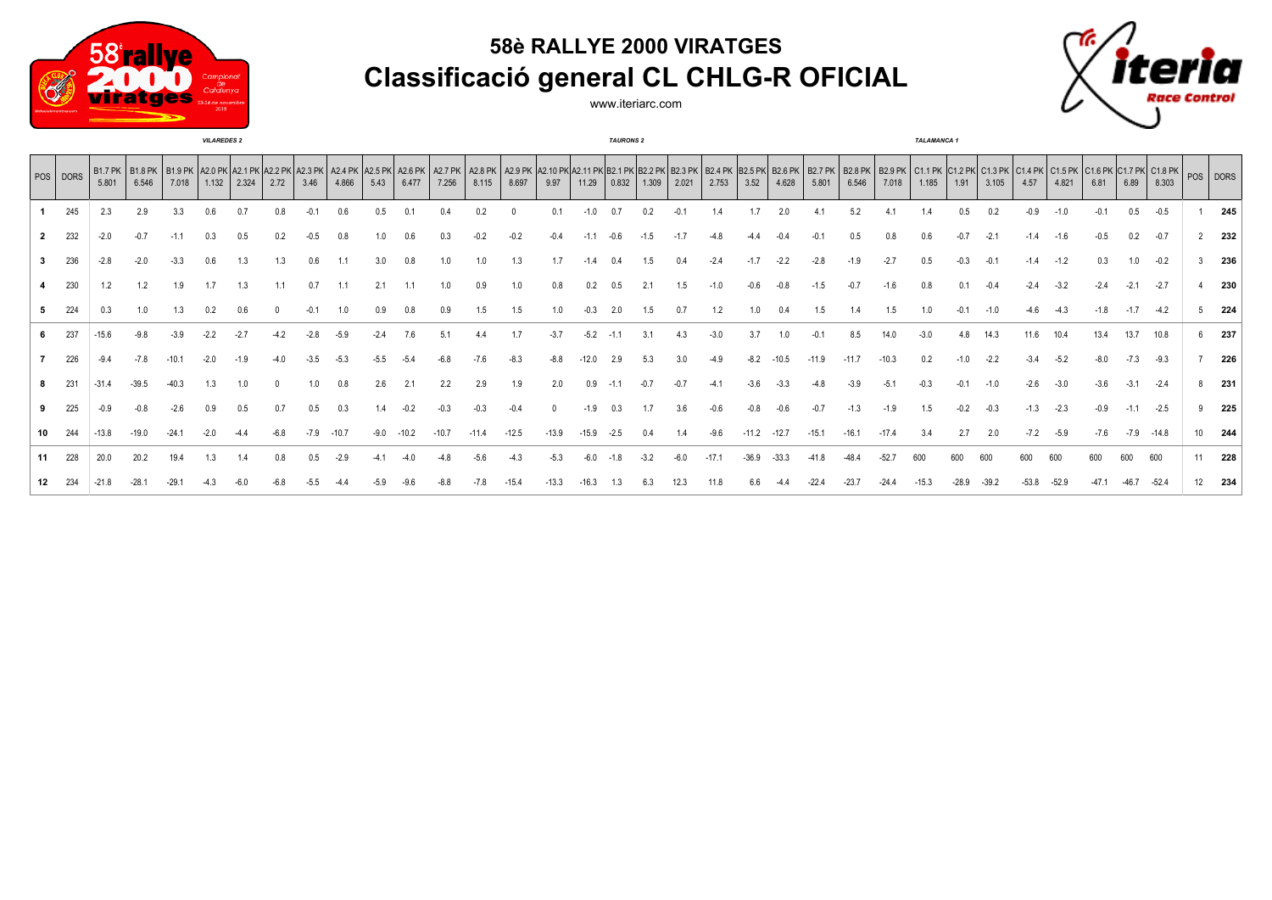





www.iteriarc.com

|              | <b>VILAREDES 2</b> |         |                                                                    |       |       |       |      |        |         |        |       |         | <b>TAURONS 2</b> |         |         |       |       |       |       |        |         | <b>TALAMANCA1</b> |         |       |         |       |        |        |        |        |        |        |                                                                                                                                                                                                                                         |                  |     |
|--------------|--------------------|---------|--------------------------------------------------------------------|-------|-------|-------|------|--------|---------|--------|-------|---------|------------------|---------|---------|-------|-------|-------|-------|--------|---------|-------------------|---------|-------|---------|-------|--------|--------|--------|--------|--------|--------|-----------------------------------------------------------------------------------------------------------------------------------------------------------------------------------------------------------------------------------------|------------------|-----|
|              | POS   DORS         | 5.801   | B1.7 PK   B1.8 PK   B1.9 PK   A2.0 PK   A2.1 PK   A2.2 PK<br>6.546 | 7.018 | 1.132 | 2.324 | 2.72 | 3.46   | 4.866   | 5.43   | 6.477 | 7.256   | 8.115            | 8.697   | 9.97    | 11.29 | 0.832 | 1.309 | 2.021 | 2.753  | 3.52    | 4.628             | 5.801   | 6.546 | 7.018   | 1.185 | 1.91   | 3.105  | 4.57   | 4.821  | 6.81   | 6.89   | A2.3 PK A2.4 PK A2.5 PK A2.5 PK A2.6 PK A2.7 PK A2.9 PK A2.10 PK A2.11 PK B2.1 PK B2.2 PK B2.3 PK B2.4 PK B2.5 PK B2.5 PK B2.7 PK B2.9 PK B2.9 PK B2.9 PK B2.9 PK B2.9 PK C1.1 PK C1.2 PK C1.3 PK C1.5 PK C1.5 PK C1.5 PK C1.5<br>8.303 |                  |     |
|              | 245                | 2.3     |                                                                    |       |       |       |      |        |         |        |       |         |                  |         |         |       |       |       |       |        |         |                   |         |       |         |       |        |        |        |        |        |        | $-0.5$                                                                                                                                                                                                                                  |                  | 245 |
| $\mathbf{2}$ | 232                | $-2.0$  |                                                                    |       |       |       |      |        |         |        |       |         |                  |         |         |       |       |       |       |        |         |                   |         |       |         |       |        |        |        |        | $-0.5$ | 0.2    | $-0.7$                                                                                                                                                                                                                                  |                  | 232 |
| $\mathbf{3}$ | 236                | $-2.8$  |                                                                    |       |       |       | 1.3  | 0.6    |         |        | 0.8   |         |                  | 1.3     |         |       |       |       |       |        |         |                   |         |       | $-2.7$  | 0.5   |        |        | $-1.4$ | $-1.2$ | 0.3    | 1.0    | $-0.2$                                                                                                                                                                                                                                  |                  | 236 |
|              | 230                | 1.2     |                                                                    | 1.9   |       |       |      | 0.7    |         |        |       |         |                  | 1.0     | 0.8     |       |       |       |       |        |         |                   |         |       |         |       |        |        |        |        |        | $-2.1$ | $-2.7$                                                                                                                                                                                                                                  |                  | 230 |
|              | 224                | 0.3     |                                                                    |       |       |       |      | $-0.1$ | 1.0     | 0.9    | 0.8   | 0.9     |                  | 1.5     | 1.0     |       |       |       |       |        |         |                   |         |       | 1.5     |       | $-0.1$ |        |        |        | $-1.8$ | $-1.7$ | $-4.2$                                                                                                                                                                                                                                  |                  | 224 |
|              | 237                | -15.6   |                                                                    |       |       |       |      |        |         |        |       |         |                  |         | -3.7    | -5.2  |       |       |       | $-3.0$ |         |                   |         |       | 14.0    |       |        | 14.3   | 11.6   |        | 13.4   | 13.7   | 10.8                                                                                                                                                                                                                                    |                  | 237 |
|              | 226                | $-9.4$  |                                                                    |       |       |       |      |        |         |        |       |         |                  | -8.3    |         |       |       |       |       | -4.9   | $-8.2$  | -10.5             |         |       | $-10.3$ | 0.2   |        | $-2.2$ | $-3.4$ | $-5.2$ | $-8.0$ | $-7.3$ | $-9.3$                                                                                                                                                                                                                                  |                  | 226 |
|              | 231                |         |                                                                    |       |       |       |      |        |         | 2.6    | 2.1   | 2.2     | 2.9              | 1.9     | 2.0     |       |       |       |       |        |         |                   |         |       | -5.1    |       |        |        | $-2.6$ | $-3.0$ | $-3.6$ | $-3.1$ | $-2.4$                                                                                                                                                                                                                                  |                  | 231 |
|              | 225                | $-0.9$  |                                                                    |       |       |       |      |        |         |        |       |         |                  |         |         |       |       |       |       |        |         |                   |         |       |         | 1.5   |        |        |        | $-2.3$ | $-0.9$ | $-1.1$ | $-2.5$                                                                                                                                                                                                                                  |                  | 225 |
| 10           | 244                | $-13.8$ |                                                                    |       |       |       |      | $-7.9$ | $-10.7$ | $-9.0$ |       | $-10.7$ | $-11.4$          | $-12.5$ | $-13.9$ |       |       |       |       | $-9.6$ | $-11.2$ | $-12.7$           | $-15.1$ | -16.1 | $-17.4$ | 3.4   | 2.7    | 2.0    | $-7.2$ | $-5.9$ | $-7.6$ |        | $-7.9 -14.8$                                                                                                                                                                                                                            | 10 <sup>10</sup> | 244 |
| 11           | 228                | 20.0    | 20.2                                                               |       |       |       |      |        |         |        |       |         |                  |         |         |       |       |       |       |        |         | -33.3             |         |       |         |       | 600    | 600    | 600    |        |        | 600    | 600                                                                                                                                                                                                                                     |                  | 228 |
| 12           |                    |         |                                                                    |       |       |       |      |        |         |        |       |         |                  |         |         |       |       |       |       |        |         |                   |         |       |         |       |        |        |        |        |        |        | $-52.4$                                                                                                                                                                                                                                 |                  | 234 |